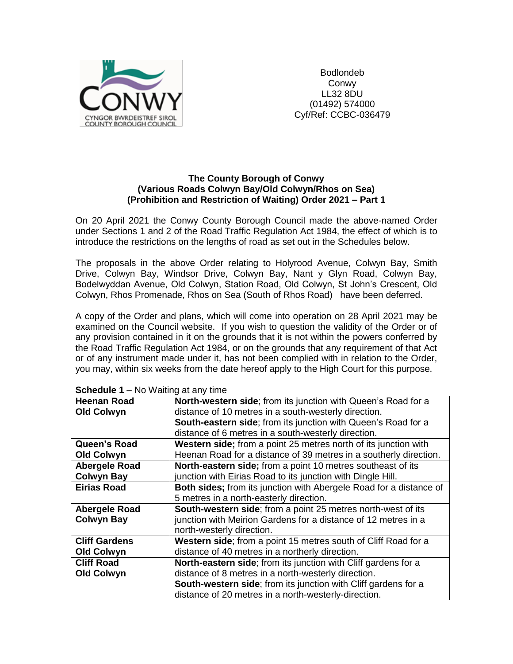

Bodlondeb Conwy LL32 8DU (01492) 574000 Cyf/Ref: CCBC-036479

#### **The County Borough of Conwy (Various Roads Colwyn Bay/Old Colwyn/Rhos on Sea) (Prohibition and Restriction of Waiting) Order 2021 – Part 1**

On 20 April 2021 the Conwy County Borough Council made the above-named Order under Sections 1 and 2 of the Road Traffic Regulation Act 1984, the effect of which is to introduce the restrictions on the lengths of road as set out in the Schedules below.

The proposals in the above Order relating to Holyrood Avenue, Colwyn Bay, Smith Drive, Colwyn Bay, Windsor Drive, Colwyn Bay, Nant y Glyn Road, Colwyn Bay, Bodelwyddan Avenue, Old Colwyn, Station Road, Old Colwyn, St John's Crescent, Old Colwyn, Rhos Promenade, Rhos on Sea (South of Rhos Road) have been deferred.

A copy of the Order and plans, which will come into operation on 28 April 2021 may be examined on the Council website. If you wish to question the validity of the Order or of any provision contained in it on the grounds that it is not within the powers conferred by the Road Traffic Regulation Act 1984, or on the grounds that any requirement of that Act or of any instrument made under it, has not been complied with in relation to the Order, you may, within six weeks from the date hereof apply to the High Court for this purpose.

| <b>Heenan Road</b>   | North-western side; from its junction with Queen's Road for a             |
|----------------------|---------------------------------------------------------------------------|
| <b>Old Colwyn</b>    | distance of 10 metres in a south-westerly direction.                      |
|                      | South-eastern side; from its junction with Queen's Road for a             |
|                      |                                                                           |
|                      | distance of 6 metres in a south-westerly direction.                       |
| Queen's Road         | Western side; from a point 25 metres north of its junction with           |
| <b>Old Colwyn</b>    | Heenan Road for a distance of 39 metres in a southerly direction.         |
| <b>Abergele Road</b> | North-eastern side; from a point 10 metres southeast of its               |
| <b>Colwyn Bay</b>    | junction with Eirias Road to its junction with Dingle Hill.               |
| <b>Eirias Road</b>   | <b>Both sides;</b> from its junction with Abergele Road for a distance of |
|                      | 5 metres in a north-easterly direction.                                   |
| <b>Abergele Road</b> | South-western side; from a point 25 metres north-west of its              |
| <b>Colwyn Bay</b>    | junction with Meirion Gardens for a distance of 12 metres in a            |
|                      | north-westerly direction.                                                 |
| <b>Cliff Gardens</b> | Western side; from a point 15 metres south of Cliff Road for a            |
| <b>Old Colwyn</b>    | distance of 40 metres in a northerly direction.                           |
| <b>Cliff Road</b>    | <b>North-eastern side;</b> from its junction with Cliff gardens for a     |
| <b>Old Colwyn</b>    | distance of 8 metres in a north-westerly direction.                       |
|                      | South-western side; from its junction with Cliff gardens for a            |
|                      | distance of 20 metres in a north-westerly-direction.                      |

| <b>Schedule 1</b> – No Waiting at any time |  |  |  |  |
|--------------------------------------------|--|--|--|--|
|--------------------------------------------|--|--|--|--|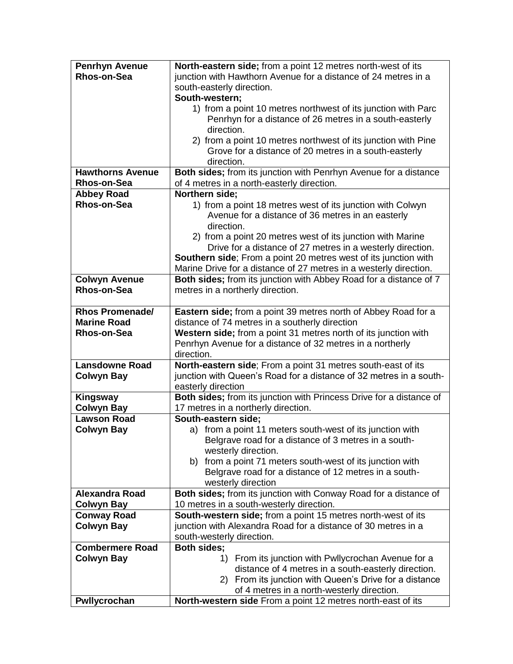| <b>Penrhyn Avenue</b>   | North-eastern side; from a point 12 metres north-west of its            |
|-------------------------|-------------------------------------------------------------------------|
| Rhos-on-Sea             | junction with Hawthorn Avenue for a distance of 24 metres in a          |
|                         | south-easterly direction.                                               |
|                         | South-western;                                                          |
|                         | 1) from a point 10 metres northwest of its junction with Parc           |
|                         | Penrhyn for a distance of 26 metres in a south-easterly                 |
|                         | direction.                                                              |
|                         | 2) from a point 10 metres northwest of its junction with Pine           |
|                         | Grove for a distance of 20 metres in a south-easterly                   |
|                         | direction.                                                              |
| <b>Hawthorns Avenue</b> | Both sides; from its junction with Penrhyn Avenue for a distance        |
| <b>Rhos-on-Sea</b>      | of 4 metres in a north-easterly direction.                              |
| <b>Abbey Road</b>       | Northern side;                                                          |
| Rhos-on-Sea             | 1) from a point 18 metres west of its junction with Colwyn              |
|                         | Avenue for a distance of 36 metres in an easterly                       |
|                         | direction.                                                              |
|                         | 2) from a point 20 metres west of its junction with Marine              |
|                         | Drive for a distance of 27 metres in a westerly direction.              |
|                         | <b>Southern side</b> ; From a point 20 metres west of its junction with |
|                         | Marine Drive for a distance of 27 metres in a westerly direction.       |
| <b>Colwyn Avenue</b>    | Both sides; from its junction with Abbey Road for a distance of 7       |
| Rhos-on-Sea             | metres in a northerly direction.                                        |
|                         |                                                                         |
| <b>Rhos Promenade/</b>  | Eastern side; from a point 39 metres north of Abbey Road for a          |
| <b>Marine Road</b>      | distance of 74 metres in a southerly direction                          |
| Rhos-on-Sea             | Western side; from a point 31 metres north of its junction with         |
|                         | Penrhyn Avenue for a distance of 32 metres in a northerly               |
|                         | direction.                                                              |
| <b>Lansdowne Road</b>   | North-eastern side; From a point 31 metres south-east of its            |
| <b>Colwyn Bay</b>       | junction with Queen's Road for a distance of 32 metres in a south-      |
|                         | easterly direction                                                      |
| Kingsway                | Both sides; from its junction with Princess Drive for a distance of     |
| <b>Colwyn Bay</b>       | 17 metres in a northerly direction.                                     |
| <b>Lawson Road</b>      | South-eastern side;                                                     |
| <b>Colwyn Bay</b>       | a) from a point 11 meters south-west of its junction with               |
|                         | Belgrave road for a distance of 3 metres in a south-                    |
|                         | westerly direction.                                                     |
|                         | b) from a point 71 meters south-west of its junction with               |
|                         | Belgrave road for a distance of 12 metres in a south-                   |
|                         | westerly direction                                                      |
| <b>Alexandra Road</b>   | Both sides; from its junction with Conway Road for a distance of        |
| <b>Colwyn Bay</b>       | 10 metres in a south-westerly direction.                                |
| <b>Conway Road</b>      | South-western side; from a point 15 metres north-west of its            |
| <b>Colwyn Bay</b>       | junction with Alexandra Road for a distance of 30 metres in a           |
|                         | south-westerly direction.                                               |
| <b>Combermere Road</b>  | Both sides;                                                             |
| <b>Colwyn Bay</b>       | 1) From its junction with Pwllycrochan Avenue for a                     |
|                         | distance of 4 metres in a south-easterly direction.                     |
|                         | 2) From its junction with Queen's Drive for a distance                  |
|                         | of 4 metres in a north-westerly direction.                              |
| Pwllycrochan            | North-western side From a point 12 metres north-east of its             |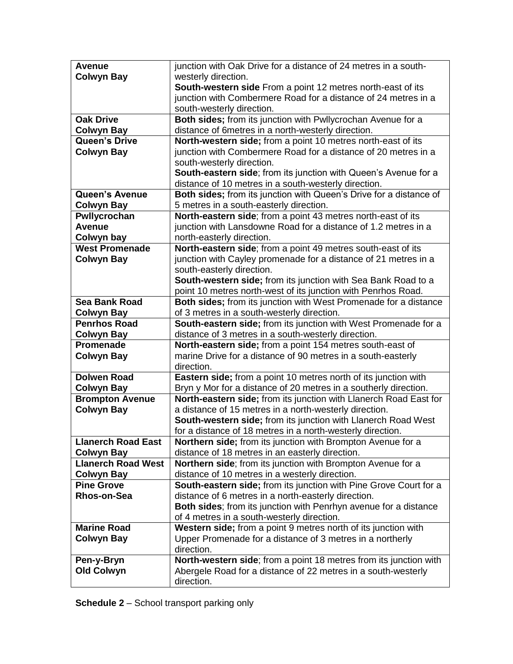| <b>Avenue</b>             | junction with Oak Drive for a distance of 24 metres in a south-                            |
|---------------------------|--------------------------------------------------------------------------------------------|
| <b>Colwyn Bay</b>         | westerly direction.                                                                        |
|                           | South-western side From a point 12 metres north-east of its                                |
|                           | junction with Combermere Road for a distance of 24 metres in a                             |
|                           | south-westerly direction.                                                                  |
| <b>Oak Drive</b>          | Both sides; from its junction with Pwllycrochan Avenue for a                               |
| <b>Colwyn Bay</b>         | distance of 6metres in a north-westerly direction.                                         |
| Queen's Drive             | North-western side; from a point 10 metres north-east of its                               |
| <b>Colwyn Bay</b>         | junction with Combermere Road for a distance of 20 metres in a                             |
|                           | south-westerly direction.                                                                  |
|                           | South-eastern side; from its junction with Queen's Avenue for a                            |
|                           | distance of 10 metres in a south-westerly direction.                                       |
| <b>Queen's Avenue</b>     | Both sides; from its junction with Queen's Drive for a distance of                         |
| <b>Colwyn Bay</b>         | 5 metres in a south-easterly direction.                                                    |
| Pwllycrochan              | North-eastern side; from a point 43 metres north-east of its                               |
| <b>Avenue</b>             | junction with Lansdowne Road for a distance of 1.2 metres in a                             |
| Colwyn bay                | north-easterly direction.                                                                  |
| <b>West Promenade</b>     | North-eastern side; from a point 49 metres south-east of its                               |
| <b>Colwyn Bay</b>         | junction with Cayley promenade for a distance of 21 metres in a                            |
|                           | south-easterly direction.<br>South-western side; from its junction with Sea Bank Road to a |
|                           | point 10 metres north-west of its junction with Penrhos Road.                              |
| <b>Sea Bank Road</b>      | Both sides; from its junction with West Promenade for a distance                           |
| <b>Colwyn Bay</b>         | of 3 metres in a south-westerly direction.                                                 |
| <b>Penrhos Road</b>       | South-eastern side; from its junction with West Promenade for a                            |
| <b>Colwyn Bay</b>         | distance of 3 metres in a south-westerly direction.                                        |
| Promenade                 | North-eastern side; from a point 154 metres south-east of                                  |
| <b>Colwyn Bay</b>         | marine Drive for a distance of 90 metres in a south-easterly                               |
|                           | direction.                                                                                 |
| <b>Dolwen Road</b>        | Eastern side; from a point 10 metres north of its junction with                            |
| <b>Colwyn Bay</b>         | Bryn y Mor for a distance of 20 metres in a southerly direction.                           |
| <b>Brompton Avenue</b>    | North-eastern side; from its junction with Llanerch Road East for                          |
| <b>Colwyn Bay</b>         | a distance of 15 metres in a north-westerly direction.                                     |
|                           | South-western side; from its junction with Llanerch Road West                              |
|                           | for a distance of 18 metres in a north-westerly direction.                                 |
| <b>Llanerch Road East</b> | <b>Northern side</b> ; from its junction with Brompton Avenue for a                        |
| <b>Colwyn Bay</b>         | distance of 18 metres in an easterly direction.                                            |
| <b>Llanerch Road West</b> | <b>Northern side</b> ; from its junction with Brompton Avenue for a                        |
| <b>Colwyn Bay</b>         | distance of 10 metres in a westerly direction.                                             |
| <b>Pine Grove</b>         | South-eastern side; from its junction with Pine Grove Court for a                          |
| <b>Rhos-on-Sea</b>        | distance of 6 metres in a north-easterly direction.                                        |
|                           | Both sides; from its junction with Penrhyn avenue for a distance                           |
|                           | of 4 metres in a south-westerly direction.                                                 |
| <b>Marine Road</b>        | Western side; from a point 9 metres north of its junction with                             |
| <b>Colwyn Bay</b>         | Upper Promenade for a distance of 3 metres in a northerly                                  |
|                           | direction.                                                                                 |
| Pen-y-Bryn                | North-western side; from a point 18 metres from its junction with                          |
| <b>Old Colwyn</b>         | Abergele Road for a distance of 22 metres in a south-westerly                              |
|                           | direction.                                                                                 |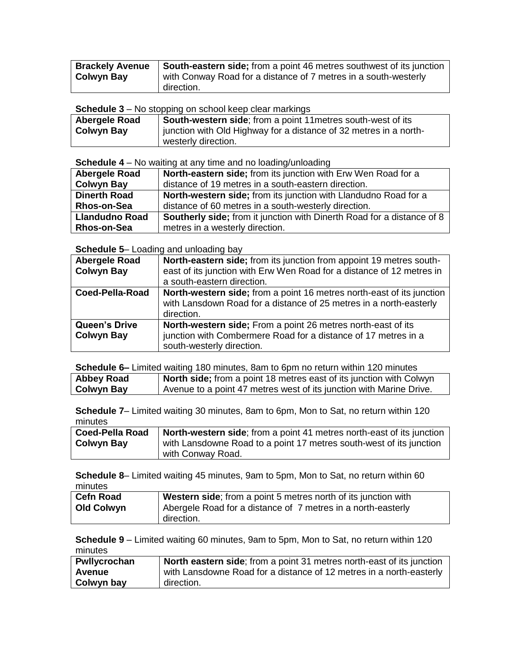| <b>Brackely Avenue</b> | South-eastern side; from a point 46 metres southwest of its junction |
|------------------------|----------------------------------------------------------------------|
| <b>Colwyn Bay</b>      | with Conway Road for a distance of 7 metres in a south-westerly      |
|                        | direction.                                                           |

**Schedule 3** – No stopping on school keep clear markings

| Abergele Road     | South-western side; from a point 11 metres south-west of its      |  |
|-------------------|-------------------------------------------------------------------|--|
| <b>Colwyn Bay</b> | junction with Old Highway for a distance of 32 metres in a north- |  |
|                   | westerly direction.                                               |  |

**Schedule 4** – No waiting at any time and no loading/unloading

| <b>Abergele Road</b>  | North-eastern side; from its junction with Erw Wen Road for a                 |
|-----------------------|-------------------------------------------------------------------------------|
| <b>Colwyn Bay</b>     | distance of 19 metres in a south-eastern direction.                           |
| <b>Dinerth Road</b>   | North-western side; from its junction with Llandudno Road for a               |
| <b>Rhos-on-Sea</b>    | distance of 60 metres in a south-westerly direction.                          |
| <b>Llandudno Road</b> | <b>Southerly side;</b> from it junction with Dinerth Road for a distance of 8 |
| <b>Rhos-on-Sea</b>    | metres in a westerly direction.                                               |

### **Schedule 5**– Loading and unloading bay

| <b>Abergele Road</b> | North-eastern side; from its junction from appoint 19 metres south-   |
|----------------------|-----------------------------------------------------------------------|
| <b>Colwyn Bay</b>    | east of its junction with Erw Wen Road for a distance of 12 metres in |
|                      | a south-eastern direction.                                            |
| Coed-Pella-Road      | North-western side; from a point 16 metres north-east of its junction |
|                      | with Lansdown Road for a distance of 25 metres in a north-easterly    |
|                      | direction.                                                            |
| Queen's Drive        | North-western side; From a point 26 metres north-east of its          |
| <b>Colwyn Bay</b>    | junction with Combermere Road for a distance of 17 metres in a        |
|                      | south-westerly direction.                                             |

|                   | <b>Schedule 6–</b> Limited waiting 180 minutes, 8am to 6pm no return within 120 minutes |
|-------------------|-----------------------------------------------------------------------------------------|
| Abbey Road        | North side; from a point 18 metres east of its junction with Colwyn                     |
| <b>Colwyn Bay</b> | Avenue to a point 47 metres west of its junction with Marine Drive.                     |

**Schedule 7**– Limited waiting 30 minutes, 8am to 6pm, Mon to Sat, no return within 120 minutes

| <b>Coed-Pella Road</b> | <b>North-western side;</b> from a point 41 metres north-east of its junction |
|------------------------|------------------------------------------------------------------------------|
| <b>Colwyn Bay</b>      | with Lansdowne Road to a point 17 metres south-west of its junction          |
|                        | with Conway Road.                                                            |

**Schedule 8**– Limited waiting 45 minutes, 9am to 5pm, Mon to Sat, no return within 60 minutes

| <b>Cefn Road</b>  | Western side; from a point 5 metres north of its junction with |
|-------------------|----------------------------------------------------------------|
| <b>Old Colwyn</b> | Abergele Road for a distance of 7 metres in a north-easterly   |
|                   | direction.                                                     |

**Schedule 9** – Limited waiting 60 minutes, 9am to 5pm, Mon to Sat, no return within 120 minutes

| Pwllycrochan | <b>North eastern side</b> ; from a point 31 metres north-east of its junction |
|--------------|-------------------------------------------------------------------------------|
| Avenue       | with Lansdowne Road for a distance of 12 metres in a north-easterly           |
| Colwyn bay   | direction.                                                                    |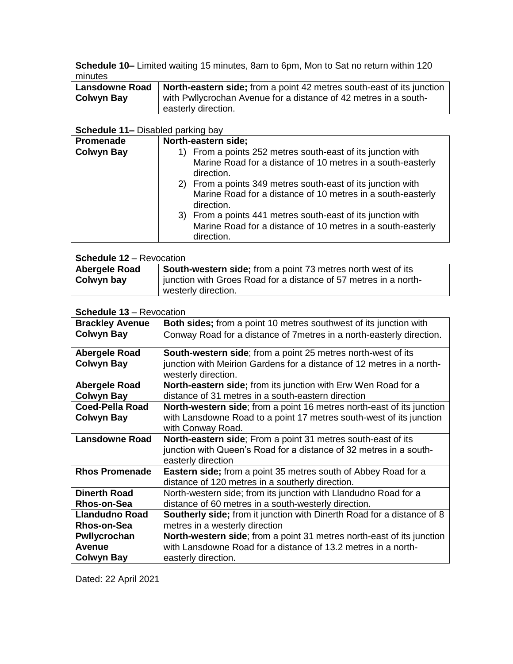**Schedule 10–** Limited waiting 15 minutes, 8am to 6pm, Mon to Sat no return within 120 minutes

| <b>Lansdowne Road</b> | North-eastern side; from a point 42 metres south-east of its junction |
|-----------------------|-----------------------------------------------------------------------|
| Colwyn Bay            | with Pwllycrochan Avenue for a distance of 42 metres in a south-      |
|                       | easterly direction.                                                   |

#### **Schedule 11–** Disabled parking bay

| Promenade         | North-eastern side;                                                       |
|-------------------|---------------------------------------------------------------------------|
| <b>Colwyn Bay</b> | 1) From a points 252 metres south-east of its junction with               |
|                   | Marine Road for a distance of 10 metres in a south-easterly<br>direction. |
|                   | 2) From a points 349 metres south-east of its junction with               |
|                   | Marine Road for a distance of 10 metres in a south-easterly<br>direction. |
|                   | 3) From a points 441 metres south-east of its junction with               |
|                   | Marine Road for a distance of 10 metres in a south-easterly               |
|                   | direction.                                                                |

## **Schedule 12** – Revocation

| Abergele Road | South-western side; from a point 73 metres north west of its     |
|---------------|------------------------------------------------------------------|
| Colwyn bay    | junction with Groes Road for a distance of 57 metres in a north- |
|               | westerly direction.                                              |

# **Schedule 13** – Revocation

| <b>Brackley Avenue</b> | <b>Both sides;</b> from a point 10 metres southwest of its junction with      |
|------------------------|-------------------------------------------------------------------------------|
| <b>Colwyn Bay</b>      | Conway Road for a distance of 7 metres in a north-easterly direction.         |
|                        |                                                                               |
| Abergele Road          | <b>South-western side;</b> from a point 25 metres north-west of its           |
| <b>Colwyn Bay</b>      | junction with Meirion Gardens for a distance of 12 metres in a north-         |
|                        | westerly direction.                                                           |
| <b>Abergele Road</b>   | <b>North-eastern side;</b> from its junction with Erw Wen Road for a          |
| <b>Colwyn Bay</b>      | distance of 31 metres in a south-eastern direction                            |
| <b>Coed-Pella Road</b> | <b>North-western side</b> ; from a point 16 metres north-east of its junction |
| <b>Colwyn Bay</b>      | with Lansdowne Road to a point 17 metres south-west of its junction           |
|                        | with Conway Road.                                                             |
| <b>Lansdowne Road</b>  | North-eastern side; From a point 31 metres south-east of its                  |
|                        | junction with Queen's Road for a distance of 32 metres in a south-            |
|                        | easterly direction                                                            |
| <b>Rhos Promenade</b>  | <b>Eastern side</b> ; from a point 35 metres south of Abbey Road for a        |
|                        | distance of 120 metres in a southerly direction.                              |
| <b>Dinerth Road</b>    | North-western side; from its junction with Llandudno Road for a               |
| Rhos-on-Sea            | distance of 60 metres in a south-westerly direction.                          |
| <b>Llandudno Road</b>  | <b>Southerly side;</b> from it junction with Dinerth Road for a distance of 8 |
| Rhos-on-Sea            | metres in a westerly direction                                                |
| Pwllycrochan           | <b>North-western side;</b> from a point 31 metres north-east of its junction  |
| <b>Avenue</b>          | with Lansdowne Road for a distance of 13.2 metres in a north-                 |
| Colwyn Bay             | easterly direction.                                                           |

Dated: 22 April 2021